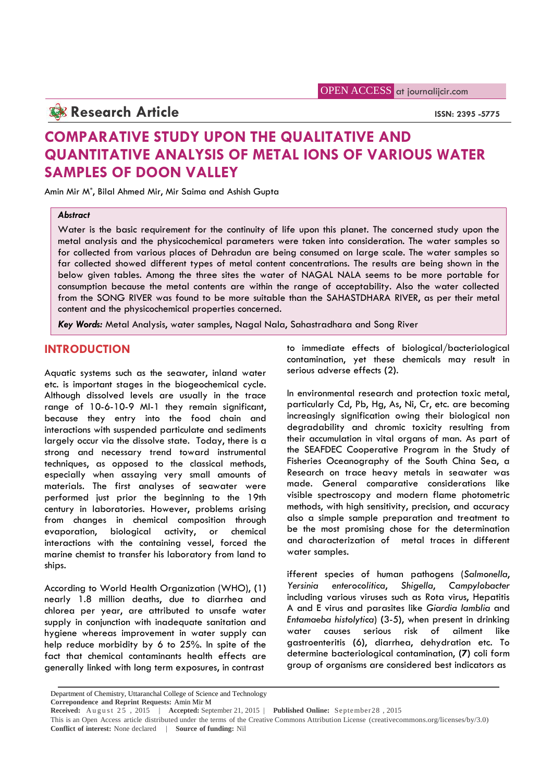## **Research Article ISSN: 2395 -5775**

# **COMPARATIVE STUDY UPON THE QUALITATIVE AND QUANTITATIVE ANALYSIS OF METAL IONS OF VARIOUS WATER SAMPLES OF DOON VALLEY**

Amin Mir M\* , Bilal Ahmed Mir, Mir Saima and Ashish Gupta

## *Abstract*

Water is the basic requirement for the continuity of life upon this planet. The concerned study upon the metal analysis and the physicochemical parameters were taken into consideration. The water samples so for collected from various places of Dehradun are being consumed on large scale. The water samples so far collected showed different types of metal content concentrations. The results are being shown in the below given tables. Among the three sites the water of NAGAL NALA seems to be more portable for consumption because the metal contents are within the range of acceptability. Also the water collected from the SONG RIVER was found to be more suitable than the SAHASTDHARA RIVER, as per their metal content and the physicochemical properties concerned.

*Key Words:* Metal Analysis, water samples, Nagal Nala, Sahastradhara and Song River

## **INTRODUCTION**

Aquatic systems such as the seawater, inland water etc. is important stages in the biogeochemical cycle. Although dissolved levels are usually in the trace range of 10-6-10-9 Ml-1 they remain significant, because they entry into the food chain and interactions with suspended particulate and sediments largely occur via the dissolve state. Today, there is a strong and necessary trend toward instrumental techniques, as opposed to the classical methods, especially when assaying very small amounts of materials. The first analyses of seawater were performed just prior the beginning to the 19th century in laboratories. However, problems arising from changes in chemical composition through evaporation, biological activity, or chemical interactions with the containing vessel, forced the marine chemist to transfer his laboratory from land to ships.

According to World Health Organization (WHO), **(**1**)** nearly 1.8 million deaths, due to diarrhea and chlorea per year, are attributed to unsafe water supply in conjunction with inadequate sanitation and the thanks business where the same water hygiene whereas improvement in water supply can help reduce morbidity by 6 to 25%. In spite of the fact that chemical contaminants health effects are generally linked with long term exposures, in contrast

to immediate effects of biological/bacteriological contamination, yet these chemicals may result in serious adverse effects **(**2**)**.

In environmental research and protection toxic metal, particularly Cd, Pb, Hg, As, Ni, Cr, etc. are becoming increasingly signification owing their biological non degradability and chromic toxicity resulting from their accumulation in vital organs of man. As part of the SEAFDEC Cooperative Program in the Study of Fisheries Oceanography of the South China Sea, a Research on trace heavy metals in seawater was made. General comparative considerations like visible spectroscopy and modern flame photometric methods, with high sensitivity, precision, and accuracy also a simple sample preparation and treatment to be the most promising chose for the determination and characterization of metal traces in different water samples.

ifferent species of human pathogens (*Salmonella*, *Yersinia enterocolitica*, *Shigella*, *Campylobacter* including various viruses such as Rota virus, Hepatitis A and E virus and parasites like *Giardia lamblia* and *Entamaeba histolytica*) **(**3-5**)**, when present in drinking causes serious risk of ailment like gastroenteritis **(**6**)**, diarrhea, dehydration etc. To determine bacteriological contamination, **(7)** coli form group of organisms are considered best indicators as

Department of Chemistry, Uttaranchal College of Science and Technology **Correpondence and Reprint Requests:** Amin Mir M

**Received:** August  $2\overline{5}$ ,  $2015$  | **Accepted:** September 21, 2015 | **Published Online:** September 28, 2015 This is an Open Access article distributed under the terms of the Creative Commons Attribution License (creativecommons.org/licenses/by/3.0) **Conflict of interest:** None declared | **Source of funding:** Nil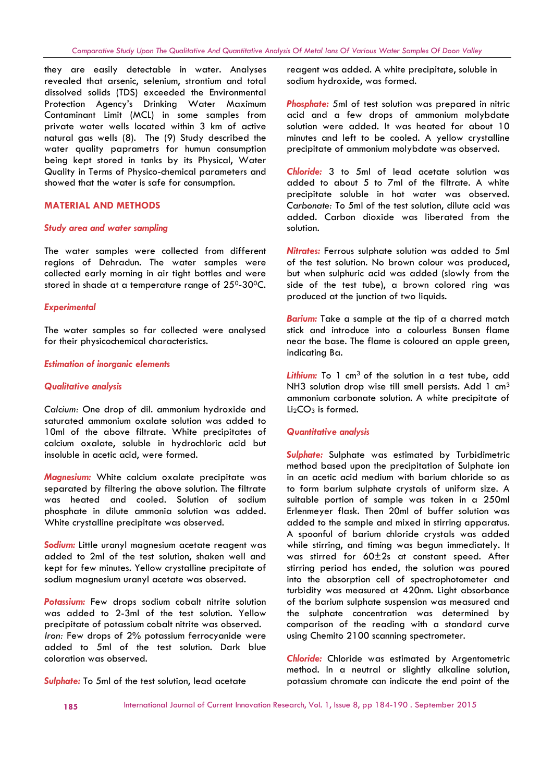they are easily detectable in water. Analyses revealed that arsenic, selenium, strontium and total dissolved solids (TDS) exceeded the Environmental Protection Agency's Drinking Water Maximum Contaminant Limit (MCL) in some samples from private water wells located within 3 km of active natural gas wells (8). The (9) Study described the water quality paprametrs for humun consumption being kept stored in tanks by its Physical, Water Quality in Terms of Physico-chemical parameters and showed that the water is safe for consumption.

## **MATERIAL AND METHODS**

### *Study area and water sampling*

The water samples were collected from different regions of Dehradun. The water samples were collected early morning in air tight bottles and were stored in shade at a temperature range of 25<sup>0</sup>-30<sup>o</sup>C.

### *Experimental*

The water samples so far collected were analysed for their physicochemical characteristics.

#### *Estimation of inorganic elements*

## *Qualitative analysis*

*Calcium:* One drop of dil. ammonium hydroxide and saturated ammonium oxalate solution was added to 10ml of the above filtrate. White precipitates of calcium oxalate, soluble in hydrochloric acid but insoluble in acetic acid, were formed.

*Magnesium:* White calcium oxalate precipitate was separated by filtering the above solution. The filtrate was heated and cooled. Solution of sodium phosphate in dilute ammonia solution was added. White crystalline precipitate was observed.

*Sodium:* Little uranyl magnesium acetate reagent was added to 2ml of the test solution, shaken well and kept for few minutes. Yellow crystalline precipitate of sodium magnesium uranyl acetate was observed.

**Potassium:** Few drops sodium cobalt nitrite solution was added to 2-3ml of the test solution. Yellow precipitate of potassium cobalt nitrite was observed. *Iron:* Few drops of 2% potassium ferrocyanide were added to 5ml of the test solution. Dark blue coloration was observed.

*Sulphate:* To 5ml of the test solution, lead acetate

reagent was added. A white precipitate, soluble in sodium hydroxide, was formed.

*Phosphate:* 5ml of test solution was prepared in nitric acid and a few drops of ammonium molybdate solution were added. It was heated for about 10 minutes and left to be cooled. A yellow crystalline precipitate of ammonium molybdate was observed.

*Chloride:* 3 to 5ml of lead acetate solution was added to about 5 to 7ml of the filtrate. A white precipitate soluble in hot water was observed. *Carbonate:* To 5ml of the test solution, dilute acid was added. Carbon dioxide was liberated from the solution.

*Nitrates:* Ferrous sulphate solution was added to 5ml of the test solution. No brown colour was produced, but when sulphuric acid was added (slowly from the side of the test tube), a brown colored ring was produced at the junction of two liquids.

*Barium:* Take a sample at the tip of a charred match stick and introduce into a colourless Bunsen flame near the base. The flame is coloured an apple green, indicating Ba.

Lithium: To 1 cm<sup>3</sup> of the solution in a test tube, add NH3 solution drop wise till smell persists. Add 1 cm<sup>3</sup> ammonium carbonate solution. A white precipitate of  $Li<sub>2</sub>CO<sub>3</sub>$  is formed.

### *Quantitative analysis*

*Sulphate:* Sulphate was estimated by Turbidimetric method based upon the precipitation of Sulphate ion in an acetic acid medium with barium chloride so as to form barium sulphate crystals of uniform size. A suitable portion of sample was taken in a 250ml Erlenmeyer flask. Then 20ml of buffer solution was added to the sample and mixed in stirring apparatus. A spoonful of barium chloride crystals was added while stirring, and timing was begun immediately. It was stirred for 60±2s at constant speed. After stirring period has ended, the solution was poured into the absorption cell of spectrophotometer and turbidity was measured at 420nm. Light absorbance of the barium sulphate suspension was measured and the sulphate concentration was determined by comparison of the reading with a standard curve using Chemito 2100 scanning spectrometer.

*Chloride:* Chloride was estimated by Argentometric method. In a neutral or slightly alkaline solution, potassium chromate can indicate the end point of the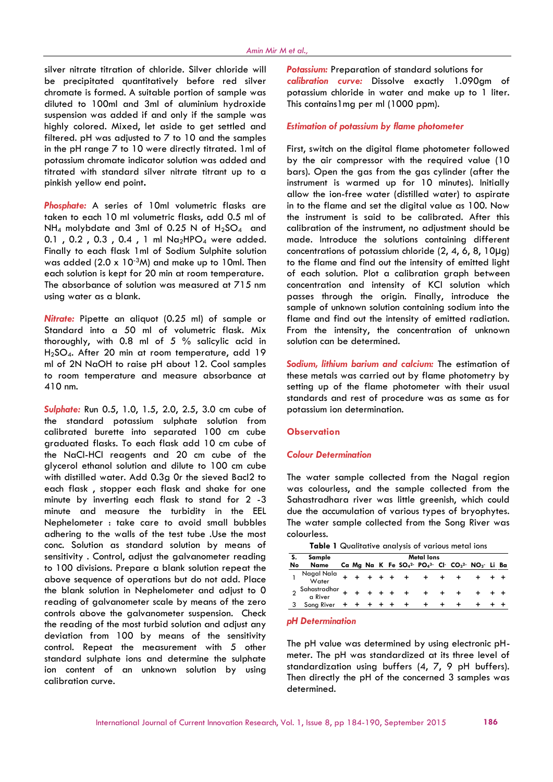silver nitrate titration of chloride. Silver chloride will be precipitated quantitatively before red silver chromate is formed. A suitable portion of sample was diluted to 100ml and 3ml of aluminium hydroxide suspension was added if and only if the sample was highly colored. Mixed, let aside to get settled and filtered. pH was adjusted to 7 to 10 and the samples in the pH range 7 to 10 were directly titrated. 1ml of potassium chromate indicator solution was added and titrated with standard silver nitrate titrant up to a pinkish yellow end point**.**

*Phosphate:* A series of 10ml volumetric flasks are taken to each 10 ml volumetric flasks, add 0.5 ml of NH<sub>4</sub> molybdate and 3ml of 0.25 N of H<sub>2</sub>SO<sub>4</sub> and 0.1, 0.2, 0.3, 0.4, 1 ml  $Na<sub>2</sub>HPO<sub>4</sub>$  were added. Finally to each flask 1ml of Sodium Sulphite solution was added  $(2.0 \times 10^{-3}$ M) and make up to 10ml. Then each solution is kept for 20 min at room temperature. The absorbance of solution was measured at 715 nm using water as a blank.

*Nitrate:* Pipette an aliquot (0.25 ml) of sample or Standard into a 50 ml of volumetric flask. Mix thoroughly, with 0.8 ml of 5 % salicylic acid in H2SO4. After 20 min at room temperature, add 19 ml of 2N NaOH to raise pH about 12. Cool samples to room temperature and measure absorbance at 410 nm.

*Sulphate:* Run 0.5, 1.0, 1.5, 2.0, 2.5, 3.0 cm cube of the standard potassium sulphate solution from calibrated burette into separated 100 cm cube graduated flasks. To each flask add 10 cm cube of the NaCl-HCl reagents and 20 cm cube of the glycerol ethanol solution and dilute to 100 cm cube with distilled water. Add 0.3g 0r the sieved Bacl2 to each flask , stopper each flask and shake for one minute by inverting each flask to stand for 2 -3 minute and measure the turbidity in the EEL Nephelometer : take care to avoid small bubbles adhering to the walls of the test tube .Use the most conc. Solution as standard solution by means of sensitivity . Control, adjust the galvanometer reading to 100 divisions. Prepare a blank solution repeat the above sequence of operations but do not add. Place the blank solution in Nephelometer and adjust to 0 reading of galvanometer scale by means of the zero controls above the galvanometer suspension. Check the reading of the most turbid solution and adjust any deviation from 100 by means of the sensitivity control. Repeat the measurement with 5 other standard sulphate ions and determine the sulphate ion content of an unknown solution by using calibration curve.

**Potassium:** Preparation of standard solutions for *calibration curve:* Dissolve exactly 1.090gm of potassium chloride in water and make up to 1 liter. This contains1mg per ml (1000 ppm).

## *Estimation of potassium by flame photometer*

First, switch on the digital flame photometer followed by the air compressor with the required value (10 bars). Open the gas from the gas cylinder (after the instrument is warmed up for 10 minutes). Initially allow the ion-free water (distilled water) to aspirate in to the flame and set the digital value as 100. Now the instrument is said to be calibrated. After this calibration of the instrument, no adjustment should be made. Introduce the solutions containing different concentrations of potassium chloride (2, 4, 6, 8, 10µg) to the flame and find out the intensity of emitted light of each solution. Plot a calibration graph between concentration and intensity of KCl solution which passes through the origin. Finally, introduce the sample of unknown solution containing sodium into the flame and find out the intensity of emitted radiation. From the intensity, the concentration of unknown solution can be determined.

*Sodium, lithium barium and calcium:* The estimation of these metals was carried out by flame photometry by setting up of the flame photometer with their usual standards and rest of procedure was as same as for potassium ion determination.

## **Observation**

#### *Colour Determination*

The water sample collected from the Nagal region was colourless, and the sample collected from the Sahastradhara river was little greenish, which could due the accumulation of various types of bryophytes. The water sample collected from the Song River was colourless.

**Table 1** Qualitative analysis of various metal ions

| s. | Sample                                                    |  |  |  | Metal lons |                                                                                                |  |  |
|----|-----------------------------------------------------------|--|--|--|------------|------------------------------------------------------------------------------------------------|--|--|
| No | Name                                                      |  |  |  |            | Ca Ma Na K Fe $SO_4^2$ PO <sub>4</sub> 3 Cl CO <sub>3</sub> <sup>2</sup> NO <sub>3</sub> Li Ba |  |  |
|    | Nagal Nala + + + + + + + + + + + + + +<br>Water           |  |  |  |            |                                                                                                |  |  |
|    | $2$ Sahastradhar + + + + + + + + + + + + + + +<br>a River |  |  |  |            |                                                                                                |  |  |
|    | Song River + + + + + + + + + +                            |  |  |  |            |                                                                                                |  |  |

#### *pH Determination*

The pH value was determined by using electronic pH meter. The pH was standardized at its three level of standardization using buffers (4, 7, 9 pH buffers). Then directly the pH of the concerned 3 samples was determined.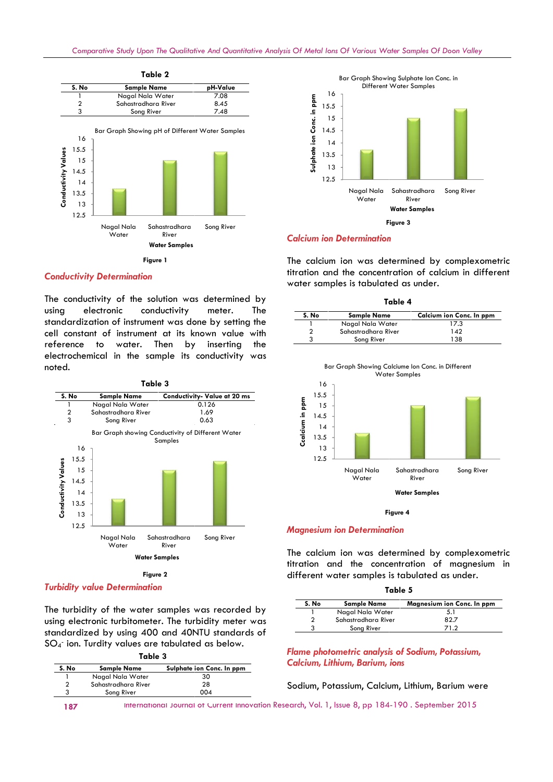

## *Conductivity Determination*

The conductivity of the solution was determined by using electronic conductivity meter. The standardization of instrument was done by setting the cell constant of instrument at its known value with reference to water. Then by inserting the electrochemical in the sample its conductivity was noted.



The turbidity of the water samples was recorded by using electronic turbitometer. The turbidity meter was standardized by using 400 and 40NTU standards of

SO<sup>4</sup> - ion. Turdity values are tabulated as below.

| Table 3 |  |
|---------|--|
|---------|--|

| S. No          | <b>Sample Name</b>  | Sulphate ion Conc. In ppm |
|----------------|---------------------|---------------------------|
|                | Nagal Nala Water    | 30                        |
| $\overline{2}$ | Sahastradhara River | 28                        |
| 3              | Song River          | 004                       |



### *Calcium ion Determination*

The calcium ion was determined by complexometric titration and the concentration of calcium in different water samples is tabulated as under.

| Table 4             |                          |  |  |  |  |
|---------------------|--------------------------|--|--|--|--|
| <b>Sample Name</b>  | Calcium ion Conc. In ppm |  |  |  |  |
| Nagal Nala Water    | 17.3                     |  |  |  |  |
| Sahastradhara River | 142                      |  |  |  |  |
| Song River          | 138                      |  |  |  |  |
|                     |                          |  |  |  |  |



**Figure 4**

#### *Magnesium ion Determination*

The calcium ion was determined by complexometric titration and the concentration of magnesium in different water samples is tabulated as under.

| Table 5 |  |  |  |  |
|---------|--|--|--|--|
|---------|--|--|--|--|

| S. No | <b>Sample Name</b>  | Magnesium ion Conc. In ppm |
|-------|---------------------|----------------------------|
|       | Nagal Nala Water    | 5.1                        |
|       | Sahastradhara River | 82.7                       |
|       | Song River          | 71.2                       |

*Flame photometric analysis of Sodium, Potassium, Calcium, Lithium, Barium, ions*

Sodium, Potassium, Calcium, Lithium, Barium were

187 International Journal of Current Innovation Research, Vol. 1, Issue 8, pp 184-190. September 2015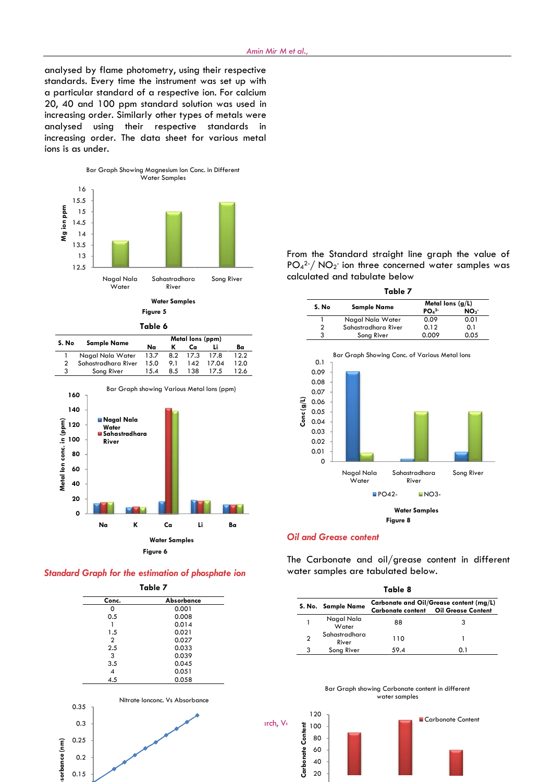analysed by flame photometry, using their respective standards. Every time the instrument was set up with a particular standard of a respective ion. For calcium 20, 40 and 100 ppm standard solution was used in increasing order. Similarly other types of metals were analysed using their respective standards in increasing order. The data sheet for various metal ions is as under.



**Table 6 6**

| <b>Sample Name</b>  | Metal lons (ppm) |     |     |       |                    |  |
|---------------------|------------------|-----|-----|-------|--------------------|--|
|                     | Na               |     | Ca  |       | Ba                 |  |
| Nagal Nala Water    |                  |     |     |       | 12.2               |  |
| Sahastradhara River | 15.0             | 9.1 | 142 | 17.04 | 12.0               |  |
| Song River          | 15.4             | 8.5 | 138 | 17.5  | 12.6               |  |
|                     |                  |     |     |       | 13.7 8.2 17.3 17.8 |  |



*Standard Graph for the estimation of phosphate ion*

**Table 7 Conc. Absorbance** 0 0.001  $0.5$  0.008  $1 0.014$ <br> $1.5 0.021$ 1.5 0.021  $\frac{2}{25}$  0.027  $2.5$  0.033 3 0.039<br>3.5 0.045  $\begin{array}{cc} 3.5 & 0.045 \\ 4 & 0.051 \end{array}$ 4 0.051<br>4.5 0.058 0.058 0.2 0.25 0.3 0.35  $\begin{bmatrix} 1 & 0.25 \\ 0.2 & 0.2 \\ 0.0 & 0.2 \\ 0 & 0.15 \end{bmatrix}$ Nitrate Ionconc. Vs Absorbance

0.15

From the Standard straight line graph the value of  $\mathsf{PO_4^{2-}}/\mathsf{NO_2^-}$  ion three concerned water samples was calculated and tabulate below

| Table 7             |                              |                 |  |
|---------------------|------------------------------|-----------------|--|
|                     | Metal lons $(g/L)$           |                 |  |
|                     | PO <sub>4</sub> <sup>2</sup> | NO <sub>3</sub> |  |
| Nagal Nala Water    | 0.09                         | 0.01            |  |
| Sahastradhara River | 0.12                         | 0.1             |  |
| Song River          | 0.009                        | 0.05            |  |
|                     | <b>Sample Name</b>           |                 |  |



## *Oil and Grease content*

The Carbonate and oil/grease content in different water samples are tabulated below.

| Table 8 |                        |      |                                                                                        |  |  |  |  |  |
|---------|------------------------|------|----------------------------------------------------------------------------------------|--|--|--|--|--|
|         | S. No. Sample Name     |      | Carbonate and Oil/Grease content (mg/L)<br><b>Carbonate content Oil Grease Content</b> |  |  |  |  |  |
|         | Nagal Nala<br>Water    | 88   |                                                                                        |  |  |  |  |  |
| 2       | Sahastradhara<br>River | 110  |                                                                                        |  |  |  |  |  |
| 3       | Song River             | 59.4 |                                                                                        |  |  |  |  |  |



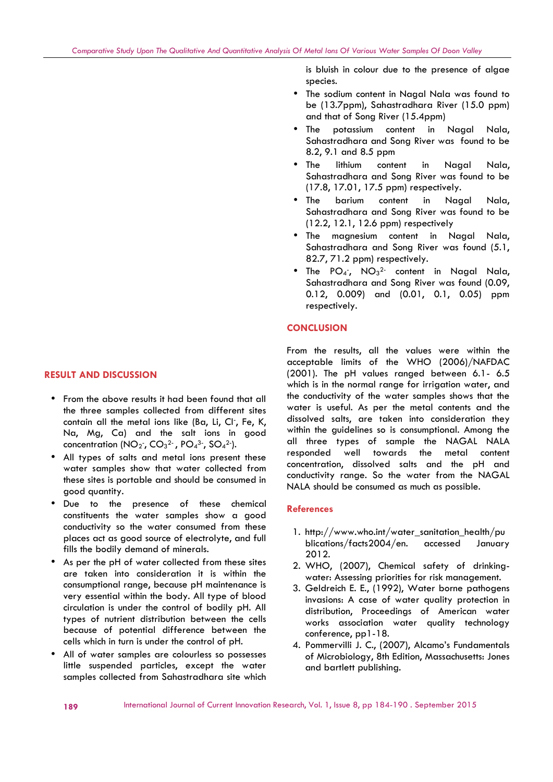- From the above results it had been found that all the three samples collected from different sites contain all the metal ions like (Ba, Li, Cl-, Fe, K, Na, Mg, Ca) and the salt ions in good concentration (NO $_2$ , CO $_3{}^2$ , PO $_4{}^3$ , SO $_4{}^2$ ).
- All types of salts and metal ions present these water samples show that water collected from these sites is portable and should be consumed in good quantity.
- Due to the presence of these chemical constituents the water samples show a good conductivity so the water consumed from these places act as good source of electrolyte, and full fills the bodily demand of minerals.
- As per the pH of water collected from these sites are taken into consideration it is within the consumptional range, because pH maintenance is very essential within the body. All type of blood circulation is under the control of bodily pH. All types of nutrient distribution between the cells because of potential difference between the cells which in turn is under the control of pH.
- All of water samples are colourless so possesses little suspended particles, except the water samples collected from Sahastradhara site which

is bluish in colour due to the presence of algae species.

- The sodium content in Nagal Nala was found to be (13.7ppm), Sahastradhara River (15.0 ppm) and that of Song River (15.4ppm)
- The potassium content in Nagal Nala, Sahastradhara and Song River was found to be 8.2, 9.1 and 8.5 ppm
- The lithium content in Nagal Nala, Sahastradhara and Song River was found to be (17.8, 17.01, 17.5 ppm) respectively.
- The barium content in Nagal Nala, Sahastradhara and Song River was found to be (12.2, 12.1, 12.6 ppm) respectively
- The magnesium content in Nagal Nala, Sahastradhara and Song River was found (5.1, 82.7, 71.2 ppm) respectively.
- The PO<sub>4</sub><sup>-</sup>, NO<sub>3</sub><sup>2-</sup> content in Nagal Nala, Sahastradhara and Song River was found (0.09, 0.12, 0.009) and (0.01, 0.1, 0.05) ppm respectively.

## **CONCLUSION**

*Comparative Study Upon The Qualitative And Quantitative Analysis Of Metal Ions Of Various Water Samples Of Doon Valley*

From the results, all the values were within the acceptable limits of the WHO (2006)/NAFDAC (2001). The pH values ranged between 6.1- 6.5 which is in the normal range for irrigation water, and the conductivity of the water samples shows that the water is useful. As per the metal contents and the dissolved salts, are taken into consideration they within the guidelines so is consumptional. Among the all three types of sample the NAGAL NALA responded well towards the metal content concentration, dissolved salts and the pH and conductivity range. So the water from the NAGAL NALA should be consumed as much as possible.

### **References**

- 1. http://www.who.int/water\_sanitation\_health/pu blications/facts2004/en. accessed January 2012.
- 2. WHO, (2007), Chemical safety of drinking water: Assessing priorities for risk management.
- 3. Geldreich E. E., (1992), Water borne pathogens invasions: A case of water quality protection in distribution, Proceedings of American water works association water quality technology conference, pp1-18.
- 4. Pommervilli J. C., (2007), Alcamo's Fundamentals of Microbiology, 8th Edition, Massachusetts: Jones and bartlett publishing.